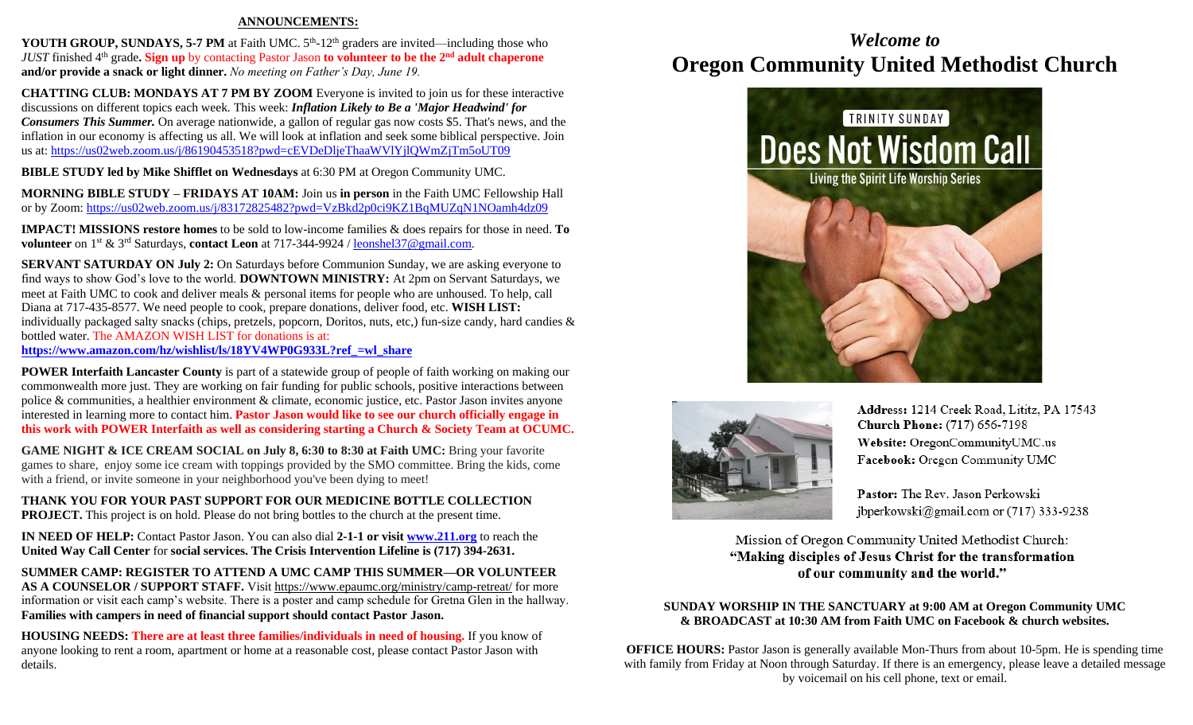#### **ANNOUNCEMENTS:**

**YOUTH GROUP, SUNDAYS, 5-7 PM** at Faith UMC.  $5<sup>th</sup>$ -12<sup>th</sup> graders are invited—including those who *JUST* finished 4th grade**. Sign up** by contacting Pastor Jason **to volunteer to be the 2nd adult chaperone and/or provide a snack or light dinner.** *No meeting on Father's Day, June 19.*

**CHATTING CLUB: MONDAYS AT 7 PM BY ZOOM** Everyone is invited to join us for these interactive discussions on different topics each week. This week: *Inflation Likely to Be a 'Major Headwind' for Consumers This Summer.* On average nationwide, a gallon of regular gas now costs \$5. That's news, and the inflation in our economy is affecting us all. We will look at inflation and seek some biblical perspective. Join us at:<https://us02web.zoom.us/j/86190453518?pwd=cEVDeDljeThaaWVlYjlQWmZjTm5oUT09>

**BIBLE STUDY led by Mike Shifflet on Wednesdays** at 6:30 PM at Oregon Community UMC.

**MORNING BIBLE STUDY – FRIDAYS AT 10AM:** Join us **in person** in the Faith UMC Fellowship Hall or by Zoom:<https://us02web.zoom.us/j/83172825482?pwd=VzBkd2p0ci9KZ1BqMUZqN1NOamh4dz09>

**IMPACT! MISSIONS restore homes** to be sold to low-income families & does repairs for those in need. **To volunteer** on 1st & 3rd Saturdays, **contact Leon** at 717-344-9924 [/ leonshel37@gmail.com.](about:blank)

**SERVANT SATURDAY ON July 2:** On Saturdays before Communion Sunday, we are asking everyone to find ways to show God's love to the world. **DOWNTOWN MINISTRY:** At 2pm on Servant Saturdays, we meet at Faith UMC to cook and deliver meals & personal items for people who are unhoused. To help, call Diana at 717-435-8577. We need people to cook, prepare donations, deliver food, etc. **WISH LIST:**  individually packaged salty snacks (chips, pretzels, popcorn, Doritos, nuts, etc,) fun-size candy, hard candies & bottled water. The AMAZON WISH LIST for donations is at: **[https://www.amazon.com/hz/wishlist/ls/18YV4WP0G933L?ref\\_=wl\\_share](https://www.amazon.com/hz/wishlist/ls/18YV4WP0G933L?ref_=wl_share)**

**POWER Interfaith Lancaster County** is part of a statewide group of people of faith working on making our commonwealth more just. They are working on fair funding for public schools, positive interactions between police & communities, a healthier environment & climate, economic justice, etc. Pastor Jason invites anyone interested in learning more to contact him. **Pastor Jason would like to see our church officially engage in this work with POWER Interfaith as well as considering starting a Church & Society Team at OCUMC.**

**GAME NIGHT & ICE CREAM SOCIAL on July 8, 6:30 to 8:30 at Faith UMC:** Bring your favorite games to share, enjoy some ice cream with toppings provided by the SMO committee. Bring the kids, come with a friend, or invite someone in your neighborhood you've been dying to meet!

**THANK YOU FOR YOUR PAST SUPPORT FOR OUR MEDICINE BOTTLE COLLECTION PROJECT.** This project is on hold. Please do not bring bottles to the church at the present time.

**IN NEED OF HELP:** Contact Pastor Jason. You can also dial **2-1-1 or visit [www.211.org](http://www.211.org/)** to reach the **United Way Call Center** for **social services. The Crisis Intervention Lifeline is (717) 394-2631.**

**SUMMER CAMP: REGISTER TO ATTEND A UMC CAMP THIS SUMMER—OR VOLUNTEER AS A COUNSELOR / SUPPORT STAFF.** Visit<https://www.epaumc.org/ministry/camp-retreat/> for more information or visit each camp's website. There is a poster and camp schedule for Gretna Glen in the hallway. **Families with campers in need of financial support should contact Pastor Jason.**

**HOUSING NEEDS: There are at least three families/individuals in need of housing.** If you know of anyone looking to rent a room, apartment or home at a reasonable cost, please contact Pastor Jason with details.

## *Welcome to* **Oregon Community United Methodist Church**





Address: 1214 Creek Road, Lititz, PA 17543 Church Phone: (717) 656-7198 Website: OregonCommunityUMC.us Facebook: Oregon Community UMC

Pastor: The Rev. Jason Perkowski jbperkowski@gmail.com or  $(717)$  333-9238

Mission of Oregon Community United Methodist Church: "Making disciples of Jesus Christ for the transformation of our community and the world."

#### **SUNDAY WORSHIP IN THE SANCTUARY at 9:00 AM at Oregon Community UMC & BROADCAST at 10:30 AM from Faith UMC on Facebook & church websites.**

**OFFICE HOURS:** Pastor Jason is generally available Mon-Thurs from about 10-5pm. He is spending time with family from Friday at Noon through Saturday. If there is an emergency, please leave a detailed message by voicemail on his cell phone, text or email.